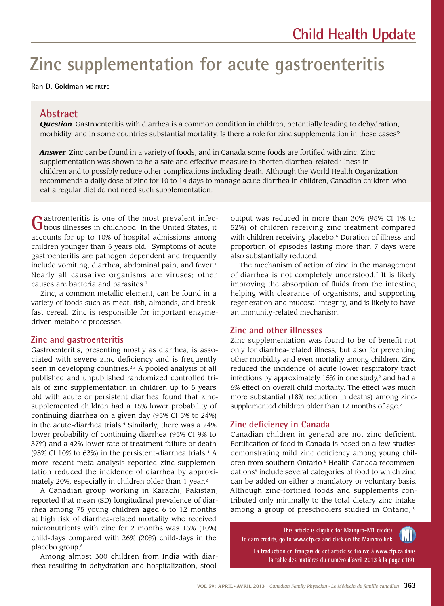# **Zinc supplementation for acute gastroenteritis**

**Ran D. Goldman MD FRCPC**

# **Abstract**

*Question* Gastroenteritis with diarrhea is a common condition in children, potentially leading to dehydration, morbidity, and in some countries substantial mortality. Is there a role for zinc supplementation in these cases?

*Answer* Zinc can be found in a variety of foods, and in Canada some foods are fortified with zinc. Zinc supplementation was shown to be a safe and effective measure to shorten diarrhea-related illness in children and to possibly reduce other complications including death. Although the World Health Organization recommends a daily dose of zinc for 10 to 14 days to manage acute diarrhea in children, Canadian children who eat a regular diet do not need such supplementation.

Gastroenteritis is one of the most prevalent infectious illnesses in childhood. In the United States, it accounts for up to 10% of hospital admissions among children younger than  $5$  years old.<sup>1</sup> Symptoms of acute gastroenteritis are pathogen dependent and frequently include vomiting, diarrhea, abdominal pain, and fever.<sup>1</sup> Nearly all causative organisms are viruses; other causes are bacteria and parasites.<sup>1</sup>

Zinc, a common metallic element, can be found in a variety of foods such as meat, fish, almonds, and breakfast cereal. Zinc is responsible for important enzymedriven metabolic processes.

## **Zinc and gastroenteritis**

Gastroenteritis, presenting mostly as diarrhea, is associated with severe zinc deficiency and is frequently seen in developing countries.<sup>2,3</sup> A pooled analysis of all published and unpublished randomized controlled trials of zinc supplementation in children up to 5 years old with acute or persistent diarrhea found that zincsupplemented children had a 15% lower probability of continuing diarrhea on a given day (95% CI 5% to 24%) in the acute-diarrhea trials.<sup>4</sup> Similarly, there was a 24% lower probability of continuing diarrhea (95% CI 9% to 37%) and a 42% lower rate of treatment failure or death (95% CI 10% to 63%) in the persistent-diarrhea trials. $4$  A more recent meta-analysis reported zinc supplementation reduced the incidence of diarrhea by approximately 20%, especially in children older than 1 year.<sup>2</sup>

A Canadian group working in Karachi, Pakistan, reported that mean (SD) longitudinal prevalence of diarrhea among 75 young children aged 6 to 12 months at high risk of diarrhea-related mortality who received micronutrients with zinc for 2 months was 15% (10%) child-days compared with 26% (20%) child-days in the placebo group.5

Among almost 300 children from India with diarrhea resulting in dehydration and hospitalization, stool

output was reduced in more than 30% (95% CI 1% to 52%) of children receiving zinc treatment compared with children receiving placebo.<sup>6</sup> Duration of illness and proportion of episodes lasting more than 7 days were also substantially reduced.

The mechanism of action of zinc in the management of diarrhea is not completely understood.7 It is likely improving the absorption of fluids from the intestine, helping with clearance of organisms, and supporting regeneration and mucosal integrity, and is likely to have an immunity-related mechanism.

## **Zinc and other illnesses**

Zinc supplementation was found to be of benefit not only for diarrhea-related illness, but also for preventing other morbidity and even mortality among children. Zinc reduced the incidence of acute lower respiratory tract infections by approximately 15% in one study, $2$  and had a 6% effect on overall child mortality. The effect was much more substantial (18% reduction in deaths) among zincsupplemented children older than 12 months of age.<sup>2</sup>

# **Zinc deficiency in Canada**

Canadian children in general are not zinc deficient. Fortification of food in Canada is based on a few studies demonstrating mild zinc deficiency among young children from southern Ontario.<sup>8</sup> Health Canada recommendations<sup>9</sup> include several categories of food to which zinc can be added on either a mandatory or voluntary basis. Although zinc-fortified foods and supplements contributed only minimally to the total dietary zinc intake among a group of preschoolers studied in Ontario,<sup>10</sup>

**This article is eligible for Mainpro-M1 credits. To earn credits, go to www.cfp.ca and click on the Mainpro link.**

**La traduction en français de cet article se trouve à www.cfp.ca dans la table des matières du numéro d'avril 2013 à la page e180.**